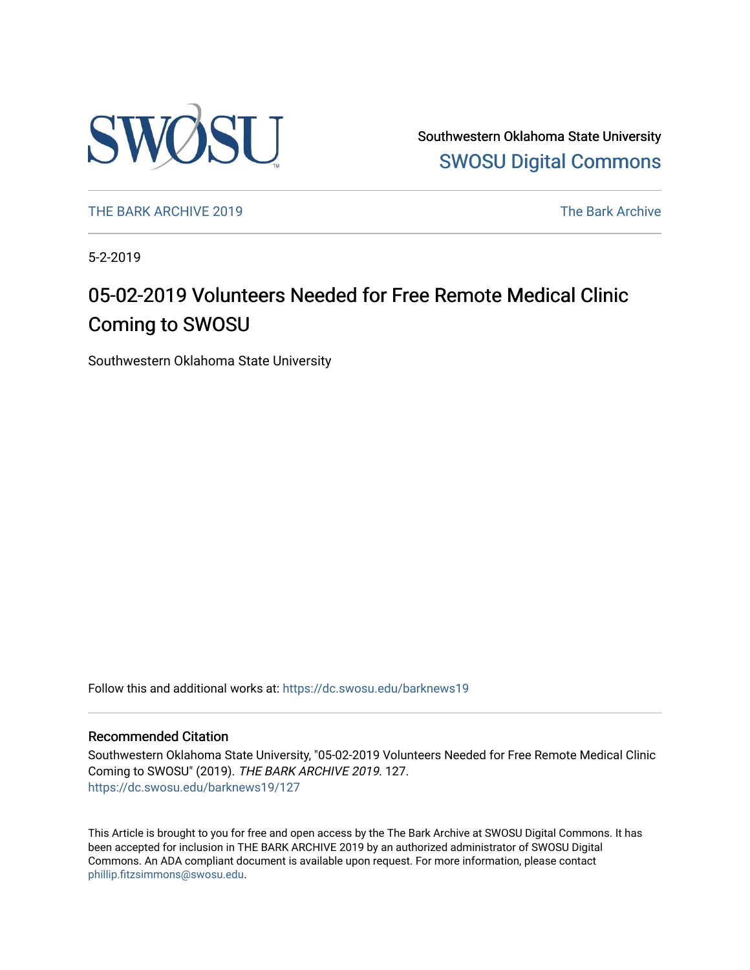

Southwestern Oklahoma State University [SWOSU Digital Commons](https://dc.swosu.edu/) 

[THE BARK ARCHIVE 2019](https://dc.swosu.edu/barknews19) The Bark Archive

5-2-2019

# 05-02-2019 Volunteers Needed for Free Remote Medical Clinic Coming to SWOSU

Southwestern Oklahoma State University

Follow this and additional works at: [https://dc.swosu.edu/barknews19](https://dc.swosu.edu/barknews19?utm_source=dc.swosu.edu%2Fbarknews19%2F127&utm_medium=PDF&utm_campaign=PDFCoverPages)

#### Recommended Citation

Southwestern Oklahoma State University, "05-02-2019 Volunteers Needed for Free Remote Medical Clinic Coming to SWOSU" (2019). THE BARK ARCHIVE 2019. 127. [https://dc.swosu.edu/barknews19/127](https://dc.swosu.edu/barknews19/127?utm_source=dc.swosu.edu%2Fbarknews19%2F127&utm_medium=PDF&utm_campaign=PDFCoverPages)

This Article is brought to you for free and open access by the The Bark Archive at SWOSU Digital Commons. It has been accepted for inclusion in THE BARK ARCHIVE 2019 by an authorized administrator of SWOSU Digital Commons. An ADA compliant document is available upon request. For more information, please contact [phillip.fitzsimmons@swosu.edu](mailto:phillip.fitzsimmons@swosu.edu).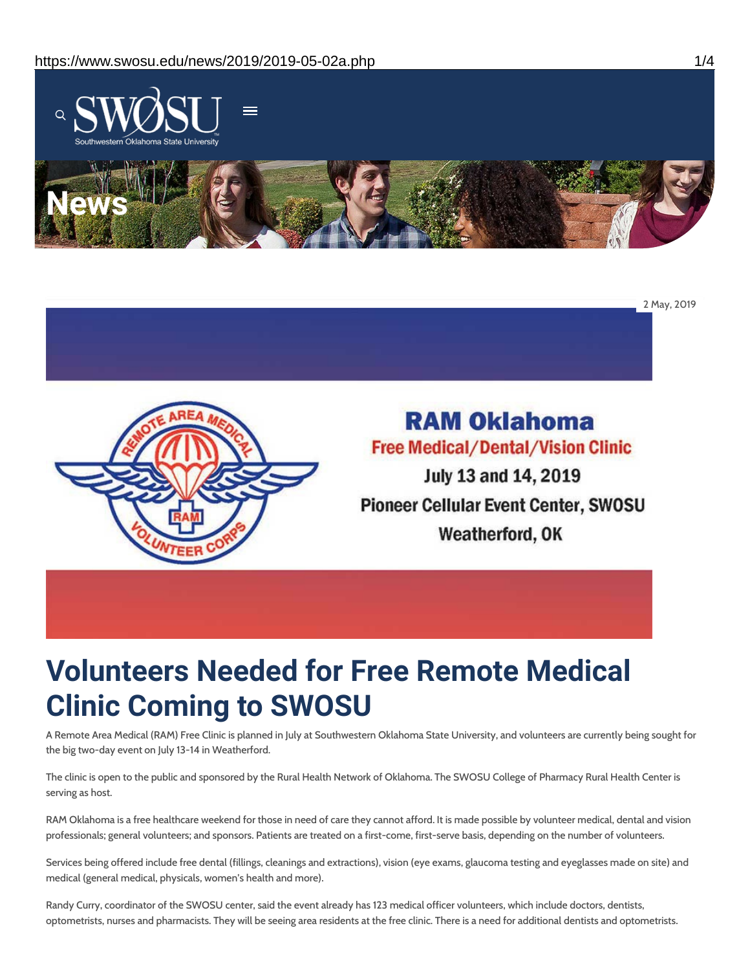



# **RAM Oklahoma Free Medical/Dental/Vision Clinic**

July 13 and 14, 2019 **Pioneer Cellular Event Center, SWOSU** Weatherford, OK

# **Volunteers Needed for Free Remote Medical Clinic Coming to SWOSU**

A Remote Area Medical (RAM) Free Clinic is planned in July at Southwestern Oklahoma State University, and volunteers are currently being sought for the big two-day event on July 13-14 in Weatherford.

The clinic is open to the public and sponsored by the Rural Health Network of Oklahoma. The SWOSU College of Pharmacy Rural Health Center is serving as host.

RAM Oklahoma is a free healthcare weekend for those in need of care they cannot afford. It is made possible by volunteer medical, dental and vision professionals; general volunteers; and sponsors. Patients are treated on a first-come, first-serve basis, depending on the number of volunteers.

Services being offered include free dental (fillings, cleanings and extractions), vision (eye exams, glaucoma testing and eyeglasses made on site) and medical (general medical, physicals, women's health and more).

Randy Curry, coordinator of the SWOSU center, said the event already has 123 medical officer volunteers, which include doctors, dentists, optometrists, nurses and pharmacists. They will be seeing area residents at the free clinic. There is a need for additional dentists and optometrists.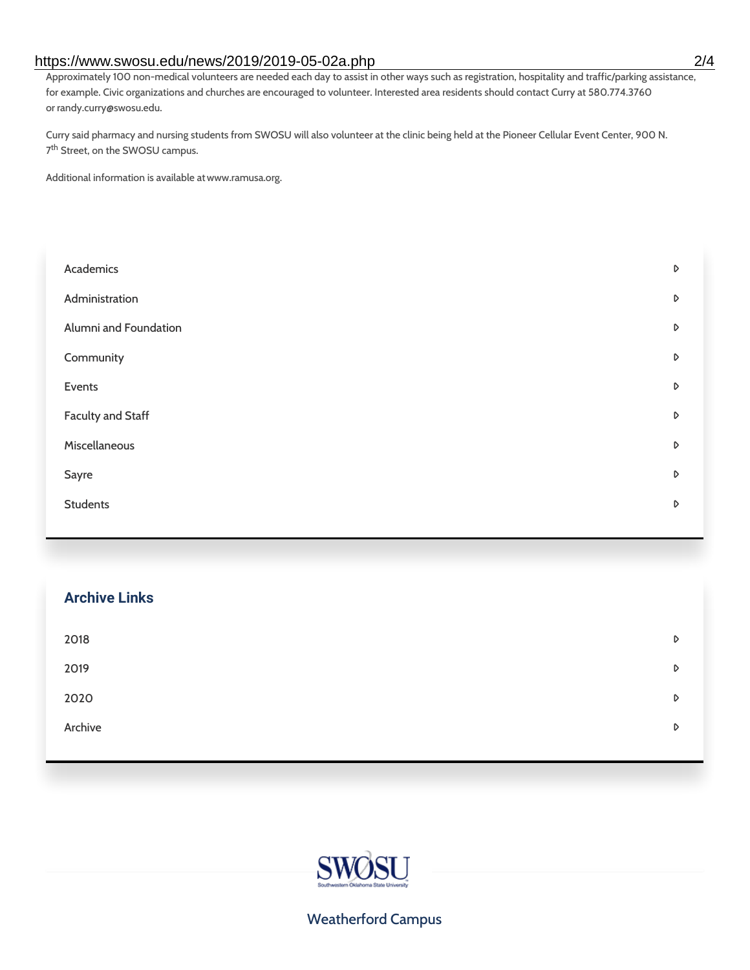### https://www.swosu.edu/news/2019/2019-05-02a.php 2/4

Approximately 100 non-medical volunteers are needed each day to assist in other ways such as registration, hospitality and traffic/parking assistance, for example. Civic organizations and churches are encouraged to volunteer. Interested area residents should contact Curry at 580.774.3760 or randy.curry@swosu.edu.

Curry said pharmacy and nursing students from SWOSU will also volunteer at the clinic being held at the Pioneer Cellular Event Center, 900 N. 7<sup>th</sup> Street, on the SWOSU campus.

Additional information is available atwww.ramusa.org.

| Academics                | D |
|--------------------------|---|
| Administration           | D |
| Alumni and Foundation    | D |
| Community                | D |
| Events                   | D |
| <b>Faculty and Staff</b> | D |
| Miscellaneous            | D |
| Sayre                    | D |
| <b>Students</b>          | D |
|                          |   |

| <b>Archive Links</b> |   |
|----------------------|---|
| 2018                 | D |
| 2019                 | D |
| 2020                 | D |
| Archive              | D |
|                      |   |



### Weatherford Campus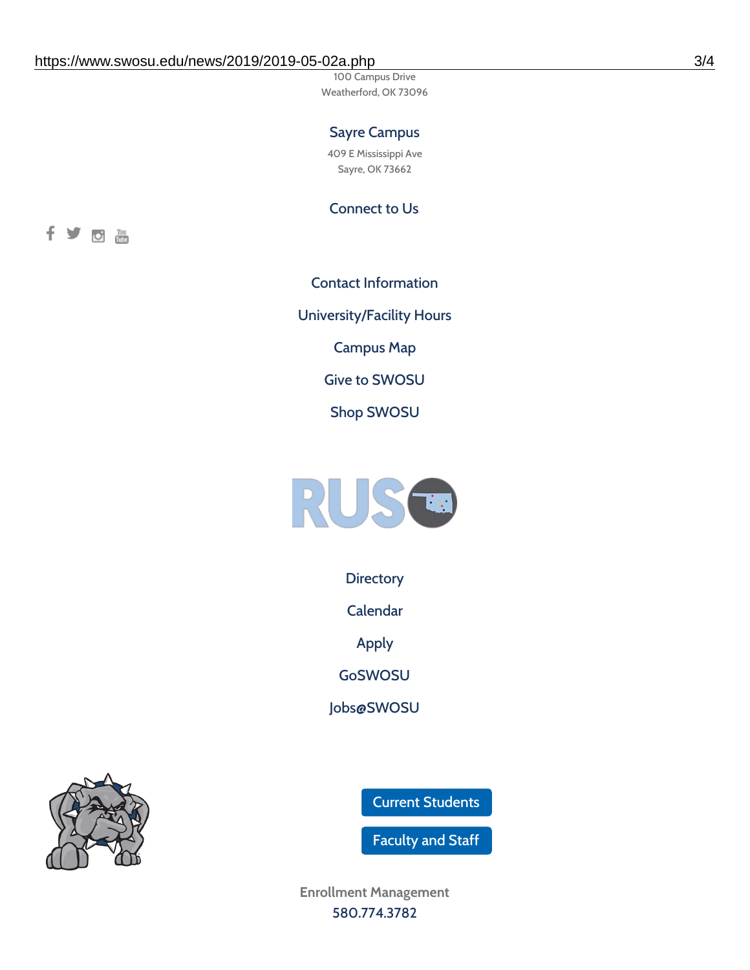100 Campus Drive Weatherford, OK 73096

## Sayre Campus

409 E Mississippi Ave Sayre, OK 73662

Connect to Us



Contact [Information](https://www.swosu.edu/about/contact.php) [University/Facility](https://www.swosu.edu/about/operating-hours.php) Hours [Campus](https://map.concept3d.com/?id=768#!ct/10964,10214,10213,10212,10205,10204,10203,10202,10136,10129,10128,0,31226,10130,10201,10641,0) Map Give to [SWOSU](https://standingfirmly.com/donate) Shop [SWOSU](https://shopswosu.merchorders.com/)



**[Directory](https://www.swosu.edu/directory/index.php)** 

[Calendar](https://eventpublisher.dudesolutions.com/swosu/)

[Apply](https://www.swosu.edu/admissions/apply-to-swosu.php)

[GoSWOSU](https://qlsso.quicklaunchsso.com/home/1267)

[Jobs@SWOSU](https://swosu.csod.com/ux/ats/careersite/1/home?c=swosu)

Current [Students](https://bulldog.swosu.edu/index.php)

[Faculty](https://bulldog.swosu.edu/faculty-staff/index.php) and Staff

**Enrollment Management** [580.774.3782](tel:5807743782)